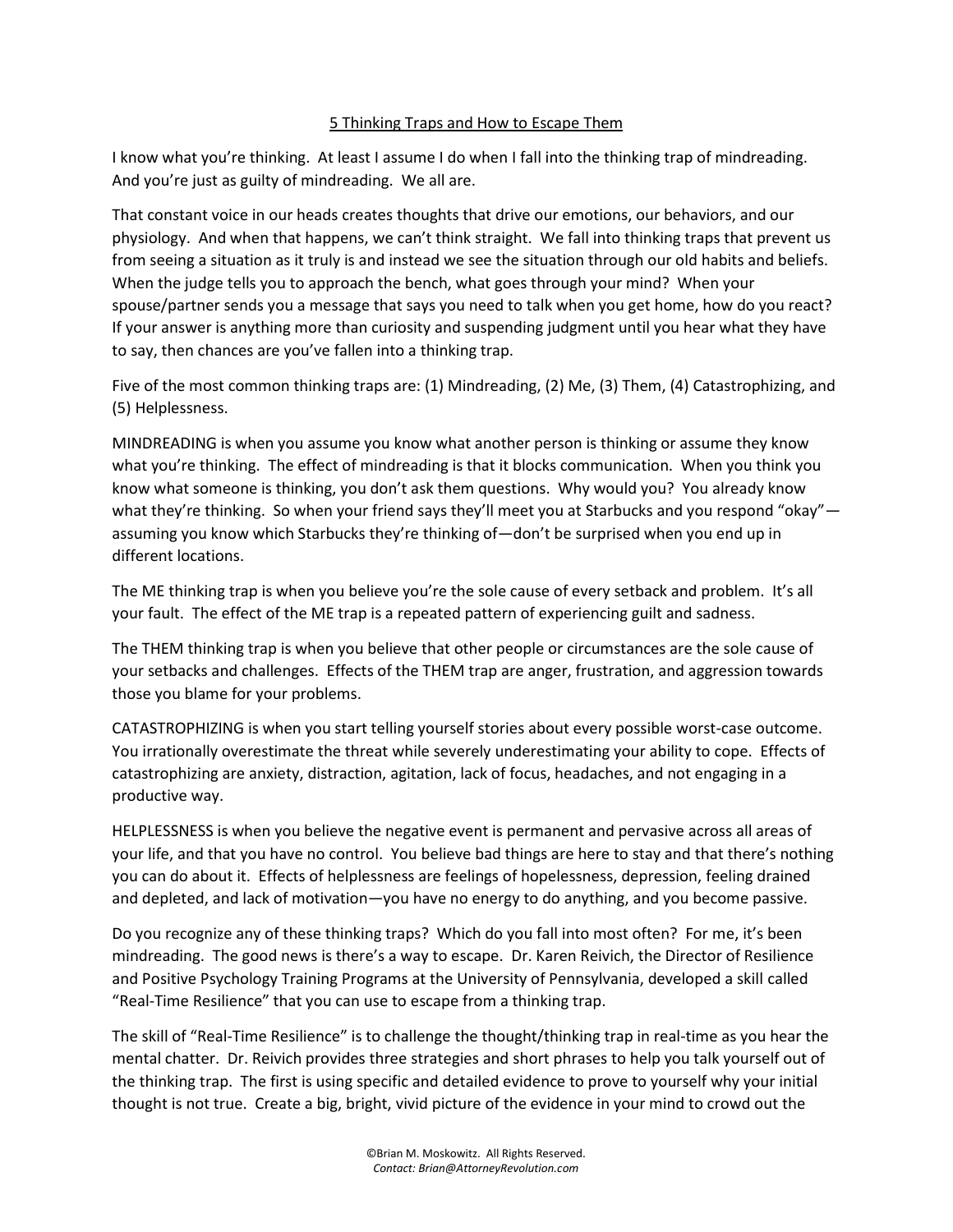## 5 Thinking Traps and How to Escape Them

I know what you're thinking. At least I assume I do when I fall into the thinking trap of mindreading. And you're just as guilty of mindreading. We all are.

That constant voice in our heads creates thoughts that drive our emotions, our behaviors, and our physiology. And when that happens, we can't think straight. We fall into thinking traps that prevent us from seeing a situation as it truly is and instead we see the situation through our old habits and beliefs. When the judge tells you to approach the bench, what goes through your mind? When your spouse/partner sends you a message that says you need to talk when you get home, how do you react? If your answer is anything more than curiosity and suspending judgment until you hear what they have to say, then chances are you've fallen into a thinking trap.

Five of the most common thinking traps are: (1) Mindreading, (2) Me, (3) Them, (4) Catastrophizing, and (5) Helplessness.

MINDREADING is when you assume you know what another person is thinking or assume they know what you're thinking. The effect of mindreading is that it blocks communication. When you think you know what someone is thinking, you don't ask them questions. Why would you? You already know what they're thinking. So when your friend says they'll meet you at Starbucks and you respond "okay" assuming you know which Starbucks they're thinking of—don't be surprised when you end up in different locations.

The ME thinking trap is when you believe you're the sole cause of every setback and problem. It's all your fault. The effect of the ME trap is a repeated pattern of experiencing guilt and sadness.

The THEM thinking trap is when you believe that other people or circumstances are the sole cause of your setbacks and challenges. Effects of the THEM trap are anger, frustration, and aggression towards those you blame for your problems.

CATASTROPHIZING is when you start telling yourself stories about every possible worst-case outcome. You irrationally overestimate the threat while severely underestimating your ability to cope. Effects of catastrophizing are anxiety, distraction, agitation, lack of focus, headaches, and not engaging in a productive way.

HELPLESSNESS is when you believe the negative event is permanent and pervasive across all areas of your life, and that you have no control. You believe bad things are here to stay and that there's nothing you can do about it. Effects of helplessness are feelings of hopelessness, depression, feeling drained and depleted, and lack of motivation—you have no energy to do anything, and you become passive.

Do you recognize any of these thinking traps? Which do you fall into most often? For me, it's been mindreading. The good news is there's a way to escape. Dr. Karen Reivich, the Director of Resilience and Positive Psychology Training Programs at the University of Pennsylvania, developed a skill called "Real-Time Resilience" that you can use to escape from a thinking trap.

The skill of "Real-Time Resilience" is to challenge the thought/thinking trap in real-time as you hear the mental chatter. Dr. Reivich provides three strategies and short phrases to help you talk yourself out of the thinking trap. The first is using specific and detailed evidence to prove to yourself why your initial thought is not true. Create a big, bright, vivid picture of the evidence in your mind to crowd out the